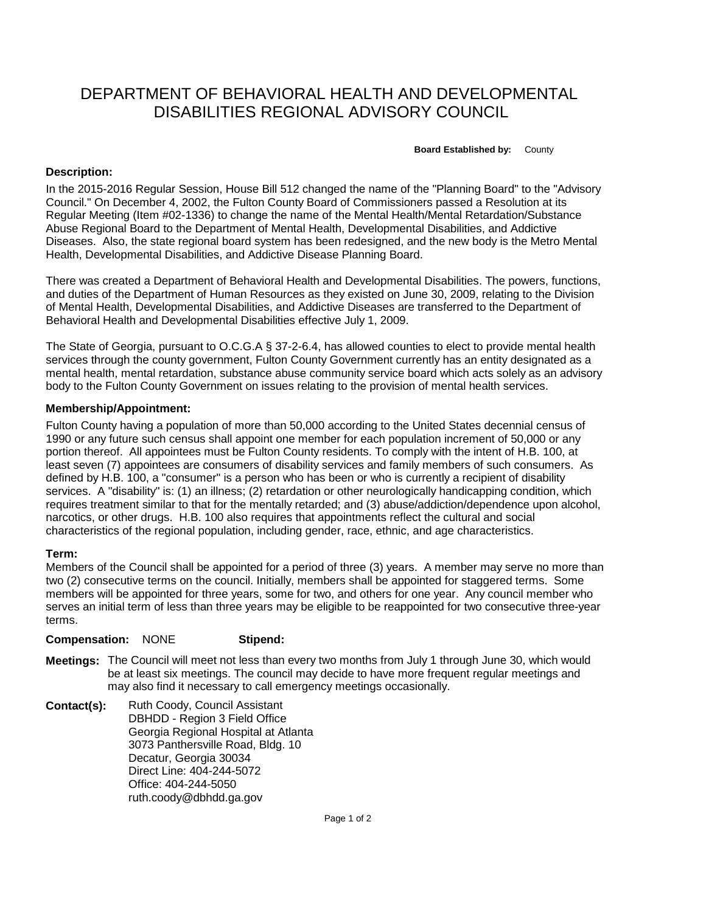## DEPARTMENT OF BEHAVIORAL HEALTH AND DEVELOPMENTAL DISABILITIES REGIONAL ADVISORY COUNCIL

**Board Established by:** County

## **Description:**

In the 2015-2016 Regular Session, House Bill 512 changed the name of the "Planning Board" to the "Advisory Council." On December 4, 2002, the Fulton County Board of Commissioners passed a Resolution at its Regular Meeting (Item #02-1336) to change the name of the Mental Health/Mental Retardation/Substance Abuse Regional Board to the Department of Mental Health, Developmental Disabilities, and Addictive Diseases. Also, the state regional board system has been redesigned, and the new body is the Metro Mental Health, Developmental Disabilities, and Addictive Disease Planning Board.

There was created a Department of Behavioral Health and Developmental Disabilities. The powers, functions, and duties of the Department of Human Resources as they existed on June 30, 2009, relating to the Division of Mental Health, Developmental Disabilities, and Addictive Diseases are transferred to the Department of Behavioral Health and Developmental Disabilities effective July 1, 2009.

The State of Georgia, pursuant to O.C.G.A § 37-2-6.4, has allowed counties to elect to provide mental health services through the county government, Fulton County Government currently has an entity designated as a mental health, mental retardation, substance abuse community service board which acts solely as an advisory body to the Fulton County Government on issues relating to the provision of mental health services.

## **Membership/Appointment:**

Fulton County having a population of more than 50,000 according to the United States decennial census of 1990 or any future such census shall appoint one member for each population increment of 50,000 or any portion thereof. All appointees must be Fulton County residents. To comply with the intent of H.B. 100, at least seven (7) appointees are consumers of disability services and family members of such consumers. As defined by H.B. 100, a "consumer" is a person who has been or who is currently a recipient of disability services. A "disability" is: (1) an illness; (2) retardation or other neurologically handicapping condition, which requires treatment similar to that for the mentally retarded; and (3) abuse/addiction/dependence upon alcohol, narcotics, or other drugs. H.B. 100 also requires that appointments reflect the cultural and social characteristics of the regional population, including gender, race, ethnic, and age characteristics.

## **Term:**

Members of the Council shall be appointed for a period of three (3) years. A member may serve no more than two (2) consecutive terms on the council. Initially, members shall be appointed for staggered terms. Some members will be appointed for three years, some for two, and others for one year. Any council member who serves an initial term of less than three years may be eligible to be reappointed for two consecutive three-year terms.

**Compensation:** NONE **Stipend:**

- **Meetings:** The Council will meet not less than every two months from July 1 through June 30, which would be at least six meetings. The council may decide to have more frequent regular meetings and may also find it necessary to call emergency meetings occasionally.
- **Contact(s):** Ruth Coody, Council Assistant DBHDD - Region 3 Field Office Georgia Regional Hospital at Atlanta 3073 Panthersville Road, Bldg. 10 Decatur, Georgia 30034 Direct Line: 404-244-5072 Office: 404-244-5050 ruth.coody@dbhdd.ga.gov